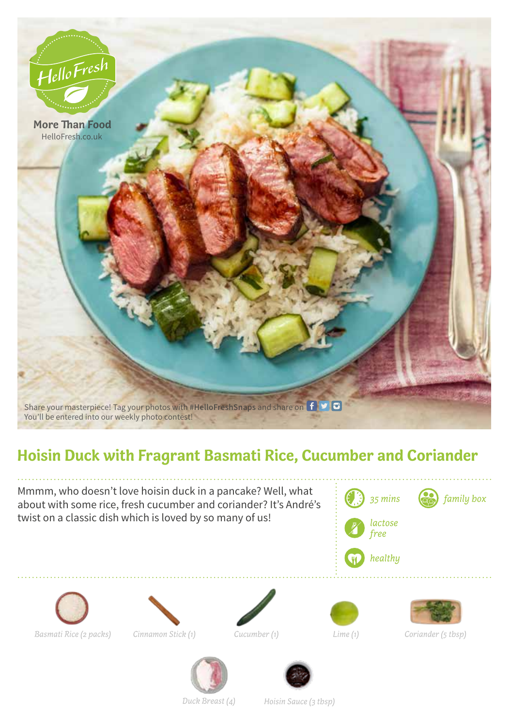

## **Hoisin Duck with Fragrant Basmati Rice, Cucumber and Coriander**

Mmmm, who doesn't love hoisin duck in a pancake? Well, what about with some rice, fresh cucumber and coriander? It's André's twist on a classic dish which is loved by so many of us!















*Lime (1) Coriander (5 tbsp)*



*Duck Breast (4) Hoisin Sauce (3 tbsp)*